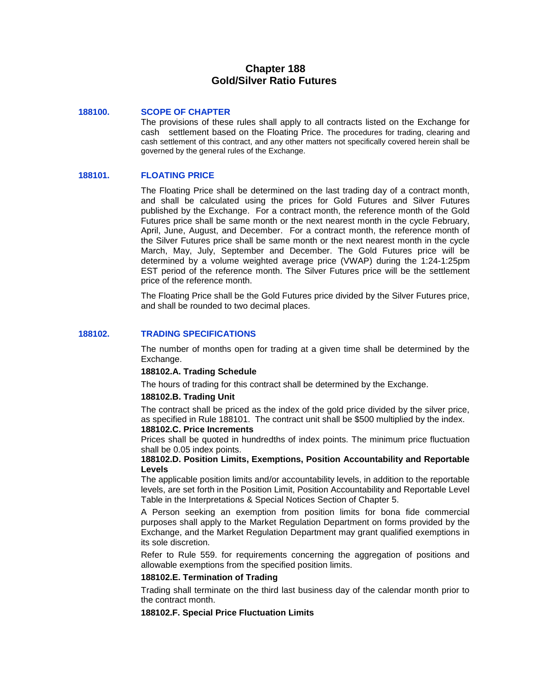# **Chapter 188 Gold/Silver Ratio Futures**

#### **188100. SCOPE OF CHAPTER**

The provisions of these rules shall apply to all contracts listed on the Exchange for cash settlement based on the Floating Price. The procedures for trading, clearing and cash settlement of this contract, and any other matters not specifically covered herein shall be governed by the general rules of the Exchange.

### **188101. FLOATING PRICE**

The Floating Price shall be determined on the last trading day of a contract month, and shall be calculated using the prices for Gold Futures and Silver Futures published by the Exchange. For a contract month, the reference month of the Gold Futures price shall be same month or the next nearest month in the cycle February, April, June, August, and December. For a contract month, the reference month of the Silver Futures price shall be same month or the next nearest month in the cycle March, May, July, September and December. The Gold Futures price will be determined by a volume weighted average price (VWAP) during the 1:24-1:25pm EST period of the reference month. The Silver Futures price will be the settlement price of the reference month.

The Floating Price shall be the Gold Futures price divided by the Silver Futures price, and shall be rounded to two decimal places.

#### **188102. TRADING SPECIFICATIONS**

The number of months open for trading at a given time shall be determined by the Exchange.

#### **188102.A. Trading Schedule**

The hours of trading for this contract shall be determined by the Exchange.

#### **188102.B. Trading Unit**

The contract shall be priced as the index of the gold price divided by the silver price, as specified in Rule 188101. The contract unit shall be \$500 multiplied by the index. **188102.C. Price Increments**

Prices shall be quoted in hundredths of index points. The minimum price fluctuation shall be 0.05 index points.

#### **188102.D. Position Limits, Exemptions, Position Accountability and Reportable Levels**

The applicable position limits and/or accountability levels, in addition to the reportable levels, are set forth in the Position Limit, Position Accountability and Reportable Level Table in the Interpretations & Special Notices Section of Chapter 5.

A Person seeking an exemption from position limits for bona fide commercial purposes shall apply to the Market Regulation Department on forms provided by the Exchange, and the Market Regulation Department may grant qualified exemptions in its sole discretion.

Refer to Rule 559. for requirements concerning the aggregation of positions and allowable exemptions from the specified position limits.

#### **188102.E. Termination of Trading**

Trading shall terminate on the third last business day of the calendar month prior to the contract month.

## **188102.F. Special Price Fluctuation Limits**